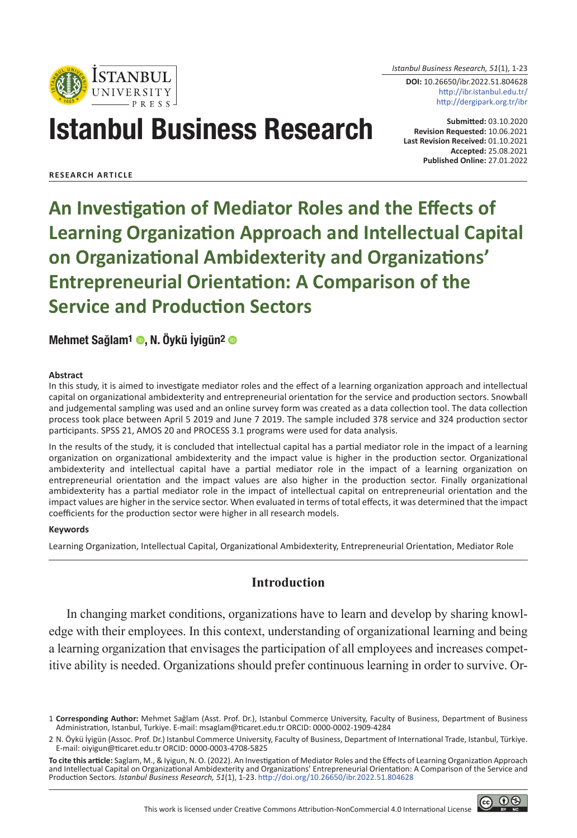

*Istanbul Business Research, 51*(1), 1-23

**DOI:** 10.26650/ibr.2022.51.804628 http://ibr.istanbul.edu.tr/ http://dergipark.org.tr/ibr

# Istanbul Business Research

**Submitted:** 03.10.2020 **Revision Requested:** 10.06.2021 **Last Revision Received:** 01.10.2021 **Accepted:** 25.08.2021 **Published Online:** 27.01.2022

**RESEARCH ARTICLE**

**An Investigation of Mediator Roles and the Effects of Learning Organization Approach and Intellectual Capital on Organizational Ambidexterity and Organizations' Entrepreneurial Orientation: A Comparison of the Service and Production Sectors**

Mehmet Sağlam<sup>1</sup> . N. Öykü İyigün<sup>2</sup> o

#### **Abstract**

In this study, it is aimed to investigate mediator roles and the effect of a learning organization approach and intellectual capital on organizational ambidexterity and entrepreneurial orientation for the service and production sectors. Snowball and judgemental sampling was used and an online survey form was created as a data collection tool. The data collection process took place between April 5 2019 and June 7 2019. The sample included 378 service and 324 production sector participants. SPSS 21, AMOS 20 and PROCESS 3.1 programs were used for data analysis.

In the results of the study, it is concluded that intellectual capital has a partial mediator role in the impact of a learning organization on organizational ambidexterity and the impact value is higher in the production sector. Organizational ambidexterity and intellectual capital have a partial mediator role in the impact of a learning organization on entrepreneurial orientation and the impact values are also higher in the production sector. Finally organizational ambidexterity has a partial mediator role in the impact of intellectual capital on entrepreneurial orientation and the impact values are higher in the service sector. When evaluated in terms of total effects, it was determined that the impact coefficients for the production sector were higher in all research models.

#### **Keywords**

Learning Organization, Intellectual Capital, Organizational Ambidexterity, Entrepreneurial Orientation, Mediator Role

# **Introduction**

In changing market conditions, organizations have to learn and develop by sharing knowledge with their employees. In this context, understanding of organizational learning and being a learning organization that envisages the participation of all employees and increases competitive ability is needed. Organizations should prefer continuous learning in order to survive. Or-

**To cite this article:** Saglam, M., & Iyigun, N. O. (2022). An Investigation of Mediator Roles and the Effects of Learning Organization Approach and Intellectual Capital on Organizational Ambidexterity and Organizations' Entrepreneurial Orientation: A Comparison of the Service and Production Sectors. *Istanbul Business Research, 51*(1), 1-23. http://doi.org/10.26650/ibr.2022.51.804628



<sup>1</sup> **Corresponding Author:** Mehmet Sağlam (Asst. Prof. Dr.), Istanbul Commerce University, Faculty of Business, Department of Business Administration, Istanbul, Turkiye. E-mail: msaglam@ticaret.edu.tr ORCID: 0000-0002-1909-4284

<sup>2</sup> N. Öykü İyigün (Assoc. Prof. Dr.) Istanbul Commerce University, Faculty of Business, Department of International Trade, Istanbul, Türkiye. E-mail: oiyigun@ticaret.edu.tr ORCID: 0000-0003-4708-5825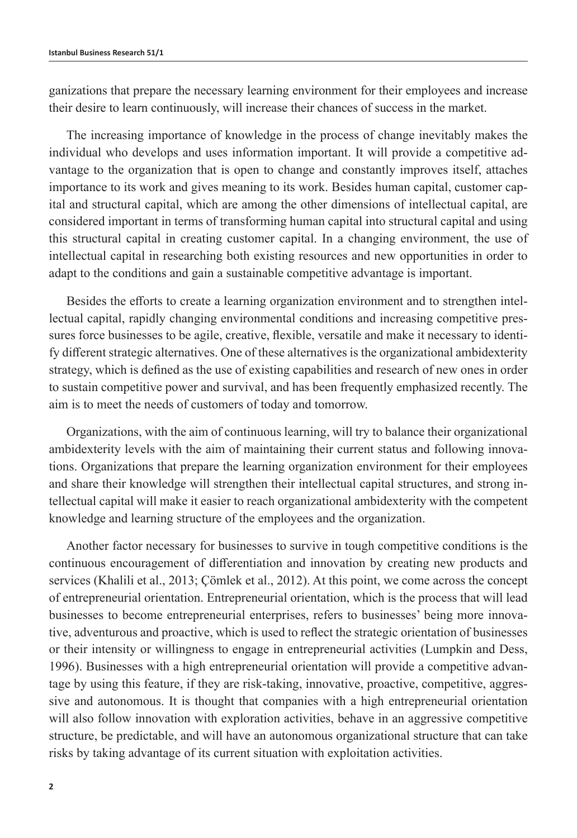ganizations that prepare the necessary learning environment for their employees and increase their desire to learn continuously, will increase their chances of success in the market.

The increasing importance of knowledge in the process of change inevitably makes the individual who develops and uses information important. It will provide a competitive advantage to the organization that is open to change and constantly improves itself, attaches importance to its work and gives meaning to its work. Besides human capital, customer capital and structural capital, which are among the other dimensions of intellectual capital, are considered important in terms of transforming human capital into structural capital and using this structural capital in creating customer capital. In a changing environment, the use of intellectual capital in researching both existing resources and new opportunities in order to adapt to the conditions and gain a sustainable competitive advantage is important.

Besides the efforts to create a learning organization environment and to strengthen intellectual capital, rapidly changing environmental conditions and increasing competitive pressures force businesses to be agile, creative, flexible, versatile and make it necessary to identify different strategic alternatives. One of these alternatives is the organizational ambidexterity strategy, which is defined as the use of existing capabilities and research of new ones in order to sustain competitive power and survival, and has been frequently emphasized recently. The aim is to meet the needs of customers of today and tomorrow.

Organizations, with the aim of continuous learning, will try to balance their organizational ambidexterity levels with the aim of maintaining their current status and following innovations. Organizations that prepare the learning organization environment for their employees and share their knowledge will strengthen their intellectual capital structures, and strong intellectual capital will make it easier to reach organizational ambidexterity with the competent knowledge and learning structure of the employees and the organization.

Another factor necessary for businesses to survive in tough competitive conditions is the continuous encouragement of differentiation and innovation by creating new products and services (Khalili et al., 2013; Çömlek et al., 2012). At this point, we come across the concept of entrepreneurial orientation. Entrepreneurial orientation, which is the process that will lead businesses to become entrepreneurial enterprises, refers to businesses' being more innovative, adventurous and proactive, which is used to reflect the strategic orientation of businesses or their intensity or willingness to engage in entrepreneurial activities (Lumpkin and Dess, 1996). Businesses with a high entrepreneurial orientation will provide a competitive advantage by using this feature, if they are risk-taking, innovative, proactive, competitive, aggressive and autonomous. It is thought that companies with a high entrepreneurial orientation will also follow innovation with exploration activities, behave in an aggressive competitive structure, be predictable, and will have an autonomous organizational structure that can take risks by taking advantage of its current situation with exploitation activities.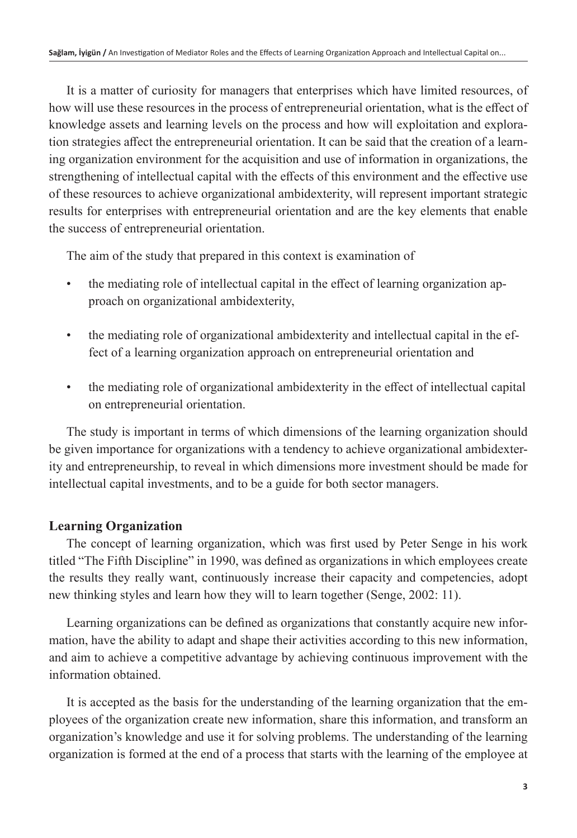It is a matter of curiosity for managers that enterprises which have limited resources, of how will use these resources in the process of entrepreneurial orientation, what is the effect of knowledge assets and learning levels on the process and how will exploitation and exploration strategies affect the entrepreneurial orientation. It can be said that the creation of a learning organization environment for the acquisition and use of information in organizations, the strengthening of intellectual capital with the effects of this environment and the effective use of these resources to achieve organizational ambidexterity, will represent important strategic results for enterprises with entrepreneurial orientation and are the key elements that enable the success of entrepreneurial orientation.

The aim of the study that prepared in this context is examination of

- the mediating role of intellectual capital in the effect of learning organization approach on organizational ambidexterity,
- the mediating role of organizational ambidexterity and intellectual capital in the effect of a learning organization approach on entrepreneurial orientation and
- the mediating role of organizational ambidexterity in the effect of intellectual capital on entrepreneurial orientation.

The study is important in terms of which dimensions of the learning organization should be given importance for organizations with a tendency to achieve organizational ambidexterity and entrepreneurship, to reveal in which dimensions more investment should be made for intellectual capital investments, and to be a guide for both sector managers.

# **Learning Organization**

The concept of learning organization, which was first used by Peter Senge in his work titled "The Fifth Discipline" in 1990, was defined as organizations in which employees create the results they really want, continuously increase their capacity and competencies, adopt new thinking styles and learn how they will to learn together (Senge, 2002: 11).

Learning organizations can be defined as organizations that constantly acquire new information, have the ability to adapt and shape their activities according to this new information, and aim to achieve a competitive advantage by achieving continuous improvement with the information obtained.

It is accepted as the basis for the understanding of the learning organization that the employees of the organization create new information, share this information, and transform an organization's knowledge and use it for solving problems. The understanding of the learning organization is formed at the end of a process that starts with the learning of the employee at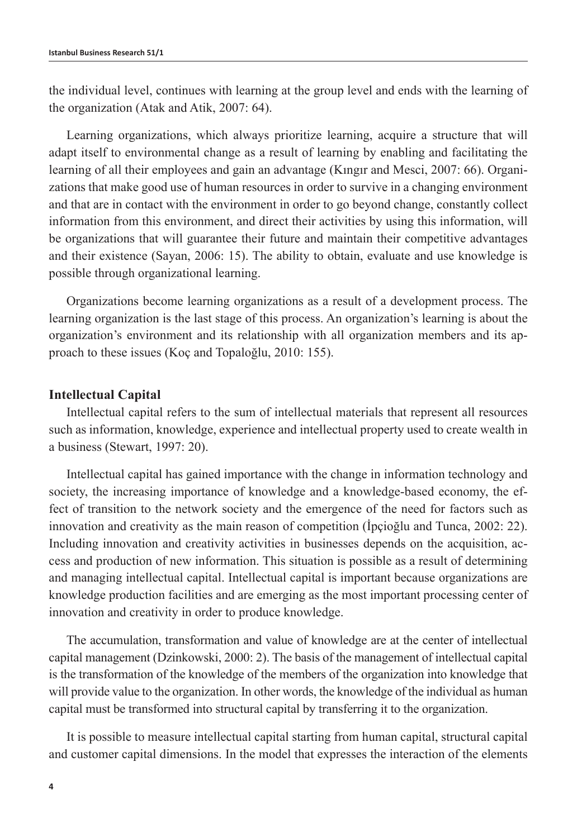the individual level, continues with learning at the group level and ends with the learning of the organization (Atak and Atik, 2007: 64).

Learning organizations, which always prioritize learning, acquire a structure that will adapt itself to environmental change as a result of learning by enabling and facilitating the learning of all their employees and gain an advantage (Kıngır and Mesci, 2007: 66). Organizations that make good use of human resources in order to survive in a changing environment and that are in contact with the environment in order to go beyond change, constantly collect information from this environment, and direct their activities by using this information, will be organizations that will guarantee their future and maintain their competitive advantages and their existence (Sayan, 2006: 15). The ability to obtain, evaluate and use knowledge is possible through organizational learning.

Organizations become learning organizations as a result of a development process. The learning organization is the last stage of this process. An organization's learning is about the organization's environment and its relationship with all organization members and its approach to these issues (Koç and Topaloğlu, 2010: 155).

## **Intellectual Capital**

Intellectual capital refers to the sum of intellectual materials that represent all resources such as information, knowledge, experience and intellectual property used to create wealth in a business (Stewart, 1997: 20).

Intellectual capital has gained importance with the change in information technology and society, the increasing importance of knowledge and a knowledge-based economy, the effect of transition to the network society and the emergence of the need for factors such as innovation and creativity as the main reason of competition (İpçioğlu and Tunca, 2002: 22). Including innovation and creativity activities in businesses depends on the acquisition, access and production of new information. This situation is possible as a result of determining and managing intellectual capital. Intellectual capital is important because organizations are knowledge production facilities and are emerging as the most important processing center of innovation and creativity in order to produce knowledge.

The accumulation, transformation and value of knowledge are at the center of intellectual capital management (Dzinkowski, 2000: 2). The basis of the management of intellectual capital is the transformation of the knowledge of the members of the organization into knowledge that will provide value to the organization. In other words, the knowledge of the individual as human capital must be transformed into structural capital by transferring it to the organization.

It is possible to measure intellectual capital starting from human capital, structural capital and customer capital dimensions. In the model that expresses the interaction of the elements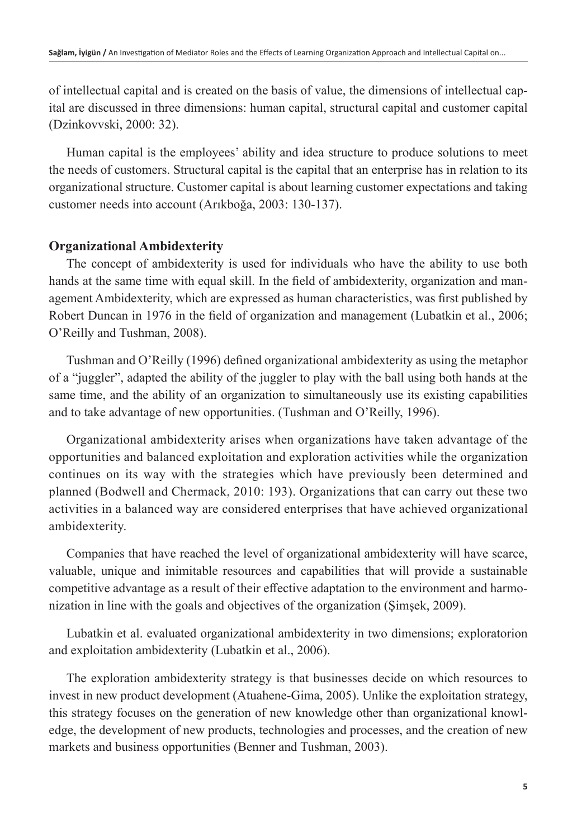of intellectual capital and is created on the basis of value, the dimensions of intellectual capital are discussed in three dimensions: human capital, structural capital and customer capital (Dzinkovvski, 2000: 32).

Human capital is the employees' ability and idea structure to produce solutions to meet the needs of customers. Structural capital is the capital that an enterprise has in relation to its organizational structure. Customer capital is about learning customer expectations and taking customer needs into account (Arıkboğa, 2003: 130-137).

# **Organizational Ambidexterity**

The concept of ambidexterity is used for individuals who have the ability to use both hands at the same time with equal skill. In the field of ambidexterity, organization and management Ambidexterity, which are expressed as human characteristics, was first published by Robert Duncan in 1976 in the field of organization and management (Lubatkin et al., 2006; O'Reilly and Tushman, 2008).

Tushman and O'Reilly (1996) defined organizational ambidexterity as using the metaphor of a "juggler", adapted the ability of the juggler to play with the ball using both hands at the same time, and the ability of an organization to simultaneously use its existing capabilities and to take advantage of new opportunities. (Tushman and O'Reilly, 1996).

Organizational ambidexterity arises when organizations have taken advantage of the opportunities and balanced exploitation and exploration activities while the organization continues on its way with the strategies which have previously been determined and planned (Bodwell and Chermack, 2010: 193). Organizations that can carry out these two activities in a balanced way are considered enterprises that have achieved organizational ambidexterity.

Companies that have reached the level of organizational ambidexterity will have scarce, valuable, unique and inimitable resources and capabilities that will provide a sustainable competitive advantage as a result of their effective adaptation to the environment and harmonization in line with the goals and objectives of the organization (Şimşek, 2009).

Lubatkin et al. evaluated organizational ambidexterity in two dimensions; exploratorion and exploitation ambidexterity (Lubatkin et al., 2006).

The exploration ambidexterity strategy is that businesses decide on which resources to invest in new product development (Atuahene-Gima, 2005). Unlike the exploitation strategy, this strategy focuses on the generation of new knowledge other than organizational knowledge, the development of new products, technologies and processes, and the creation of new markets and business opportunities (Benner and Tushman, 2003).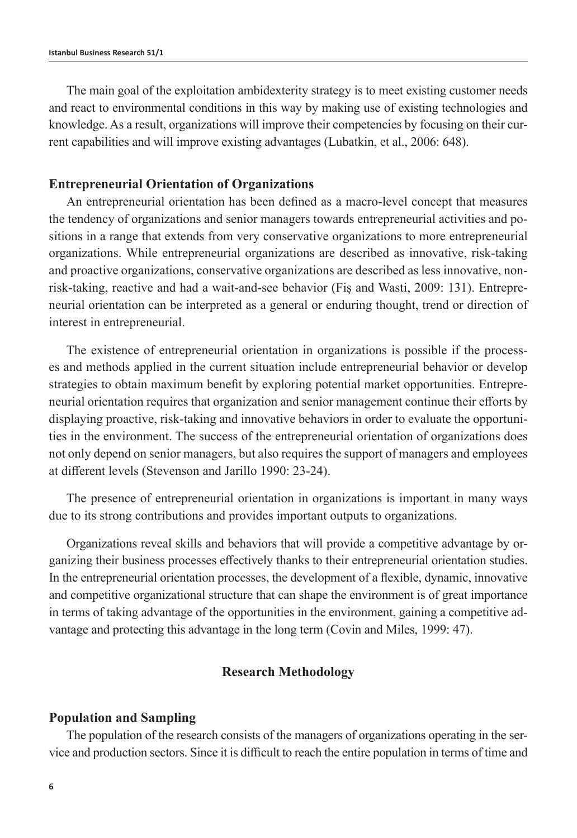The main goal of the exploitation ambidexterity strategy is to meet existing customer needs and react to environmental conditions in this way by making use of existing technologies and knowledge. As a result, organizations will improve their competencies by focusing on their current capabilities and will improve existing advantages (Lubatkin, et al., 2006: 648).

### **Entrepreneurial Orientation of Organizations**

An entrepreneurial orientation has been defined as a macro-level concept that measures the tendency of organizations and senior managers towards entrepreneurial activities and positions in a range that extends from very conservative organizations to more entrepreneurial organizations. While entrepreneurial organizations are described as innovative, risk-taking and proactive organizations, conservative organizations are described as less innovative, nonrisk-taking, reactive and had a wait-and-see behavior (Fiş and Wasti, 2009: 131). Entrepreneurial orientation can be interpreted as a general or enduring thought, trend or direction of interest in entrepreneurial.

The existence of entrepreneurial orientation in organizations is possible if the processes and methods applied in the current situation include entrepreneurial behavior or develop strategies to obtain maximum benefit by exploring potential market opportunities. Entrepreneurial orientation requires that organization and senior management continue their efforts by displaying proactive, risk-taking and innovative behaviors in order to evaluate the opportunities in the environment. The success of the entrepreneurial orientation of organizations does not only depend on senior managers, but also requires the support of managers and employees at different levels (Stevenson and Jarillo 1990: 23-24).

The presence of entrepreneurial orientation in organizations is important in many ways due to its strong contributions and provides important outputs to organizations.

Organizations reveal skills and behaviors that will provide a competitive advantage by organizing their business processes effectively thanks to their entrepreneurial orientation studies. In the entrepreneurial orientation processes, the development of a flexible, dynamic, innovative and competitive organizational structure that can shape the environment is of great importance in terms of taking advantage of the opportunities in the environment, gaining a competitive advantage and protecting this advantage in the long term (Covin and Miles, 1999: 47).

## **Research Methodology**

### **Population and Sampling**

The population of the research consists of the managers of organizations operating in the service and production sectors. Since it is difficult to reach the entire population in terms of time and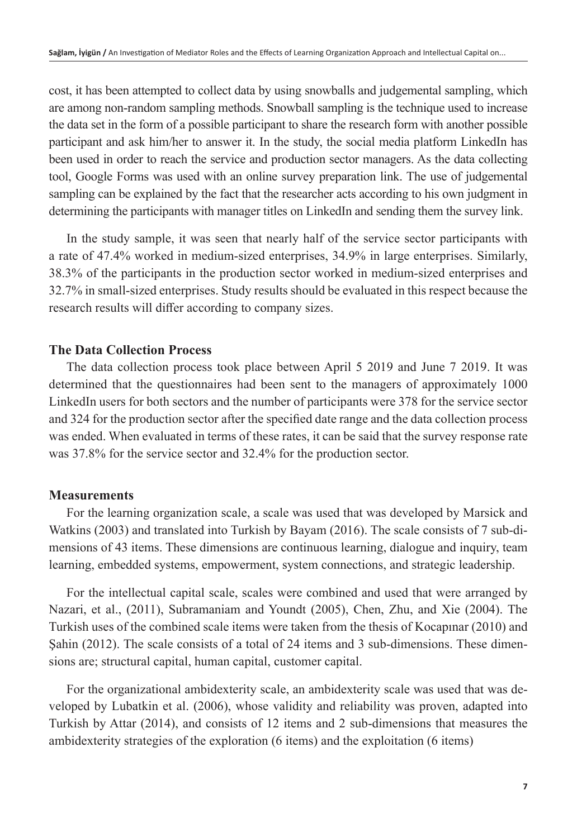cost, it has been attempted to collect data by using snowballs and judgemental sampling, which are among non-random sampling methods. Snowball sampling is the technique used to increase the data set in the form of a possible participant to share the research form with another possible participant and ask him/her to answer it. In the study, the social media platform LinkedIn has been used in order to reach the service and production sector managers. As the data collecting tool, Google Forms was used with an online survey preparation link. The use of judgemental sampling can be explained by the fact that the researcher acts according to his own judgment in determining the participants with manager titles on LinkedIn and sending them the survey link.

In the study sample, it was seen that nearly half of the service sector participants with a rate of 47.4% worked in medium-sized enterprises, 34.9% in large enterprises. Similarly, 38.3% of the participants in the production sector worked in medium-sized enterprises and 32.7% in small-sized enterprises. Study results should be evaluated in this respect because the research results will differ according to company sizes.

# **The Data Collection Process**

The data collection process took place between April 5 2019 and June 7 2019. It was determined that the questionnaires had been sent to the managers of approximately 1000 LinkedIn users for both sectors and the number of participants were 378 for the service sector and 324 for the production sector after the specified date range and the data collection process was ended. When evaluated in terms of these rates, it can be said that the survey response rate was 37.8% for the service sector and 32.4% for the production sector.

# **Measurements**

For the learning organization scale, a scale was used that was developed by Marsick and Watkins (2003) and translated into Turkish by Bayam (2016). The scale consists of 7 sub-dimensions of 43 items. These dimensions are continuous learning, dialogue and inquiry, team learning, embedded systems, empowerment, system connections, and strategic leadership.

For the intellectual capital scale, scales were combined and used that were arranged by Nazari, et al., (2011), Subramaniam and Youndt (2005), Chen, Zhu, and Xie (2004). The Turkish uses of the combined scale items were taken from the thesis of Kocapınar (2010) and Şahin (2012). The scale consists of a total of 24 items and 3 sub-dimensions. These dimensions are; structural capital, human capital, customer capital.

For the organizational ambidexterity scale, an ambidexterity scale was used that was developed by Lubatkin et al. (2006), whose validity and reliability was proven, adapted into Turkish by Attar (2014), and consists of 12 items and 2 sub-dimensions that measures the ambidexterity strategies of the exploration (6 items) and the exploitation (6 items)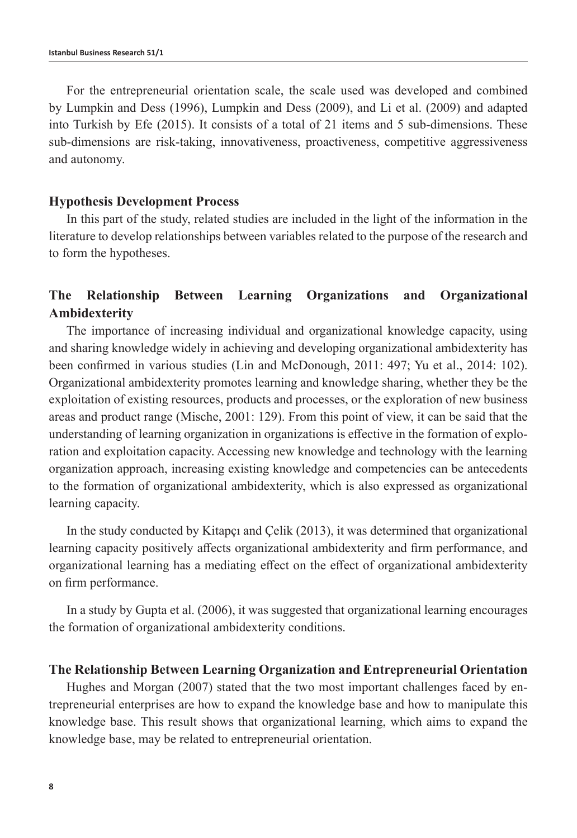For the entrepreneurial orientation scale, the scale used was developed and combined by Lumpkin and Dess (1996), Lumpkin and Dess (2009), and Li et al. (2009) and adapted into Turkish by Efe (2015). It consists of a total of 21 items and 5 sub-dimensions. These sub-dimensions are risk-taking, innovativeness, proactiveness, competitive aggressiveness and autonomy.

### **Hypothesis Development Process**

In this part of the study, related studies are included in the light of the information in the literature to develop relationships between variables related to the purpose of the research and to form the hypotheses.

# **The Relationship Between Learning Organizations and Organizational Ambidexterity**

The importance of increasing individual and organizational knowledge capacity, using and sharing knowledge widely in achieving and developing organizational ambidexterity has been confirmed in various studies (Lin and McDonough, 2011: 497; Yu et al., 2014: 102). Organizational ambidexterity promotes learning and knowledge sharing, whether they be the exploitation of existing resources, products and processes, or the exploration of new business areas and product range (Mische, 2001: 129). From this point of view, it can be said that the understanding of learning organization in organizations is effective in the formation of exploration and exploitation capacity. Accessing new knowledge and technology with the learning organization approach, increasing existing knowledge and competencies can be antecedents to the formation of organizational ambidexterity, which is also expressed as organizational learning capacity.

In the study conducted by Kitapçı and Çelik (2013), it was determined that organizational learning capacity positively affects organizational ambidexterity and firm performance, and organizational learning has a mediating effect on the effect of organizational ambidexterity on firm performance.

In a study by Gupta et al. (2006), it was suggested that organizational learning encourages the formation of organizational ambidexterity conditions.

#### **The Relationship Between Learning Organization and Entrepreneurial Orientation**

Hughes and Morgan (2007) stated that the two most important challenges faced by entrepreneurial enterprises are how to expand the knowledge base and how to manipulate this knowledge base. This result shows that organizational learning, which aims to expand the knowledge base, may be related to entrepreneurial orientation.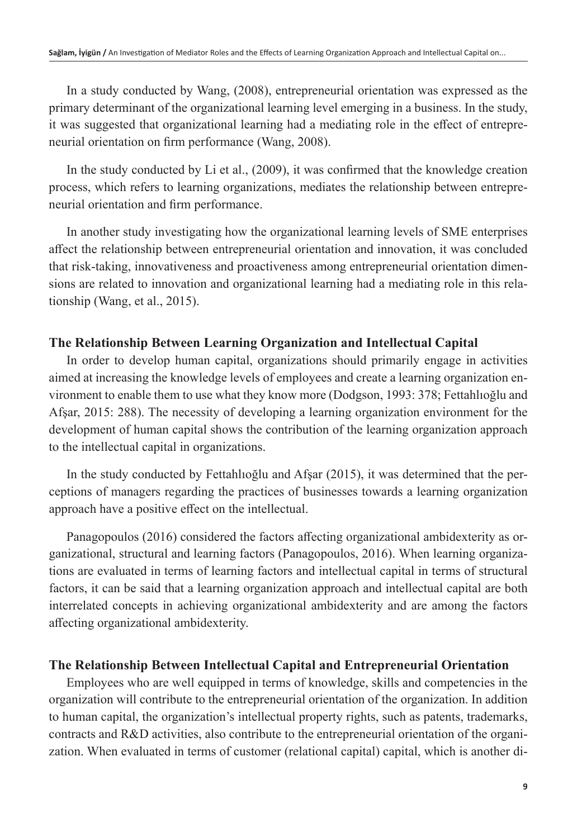In a study conducted by Wang, (2008), entrepreneurial orientation was expressed as the primary determinant of the organizational learning level emerging in a business. In the study, it was suggested that organizational learning had a mediating role in the effect of entrepreneurial orientation on firm performance (Wang, 2008).

In the study conducted by Li et al., (2009), it was confirmed that the knowledge creation process, which refers to learning organizations, mediates the relationship between entrepreneurial orientation and firm performance.

In another study investigating how the organizational learning levels of SME enterprises affect the relationship between entrepreneurial orientation and innovation, it was concluded that risk-taking, innovativeness and proactiveness among entrepreneurial orientation dimensions are related to innovation and organizational learning had a mediating role in this relationship (Wang, et al., 2015).

# **The Relationship Between Learning Organization and Intellectual Capital**

In order to develop human capital, organizations should primarily engage in activities aimed at increasing the knowledge levels of employees and create a learning organization environment to enable them to use what they know more (Dodgson, 1993: 378; Fettahlıoğlu and Afşar, 2015: 288). The necessity of developing a learning organization environment for the development of human capital shows the contribution of the learning organization approach to the intellectual capital in organizations.

In the study conducted by Fettahlıoğlu and Afşar (2015), it was determined that the perceptions of managers regarding the practices of businesses towards a learning organization approach have a positive effect on the intellectual.

Panagopoulos (2016) considered the factors affecting organizational ambidexterity as organizational, structural and learning factors (Panagopoulos, 2016). When learning organizations are evaluated in terms of learning factors and intellectual capital in terms of structural factors, it can be said that a learning organization approach and intellectual capital are both interrelated concepts in achieving organizational ambidexterity and are among the factors affecting organizational ambidexterity.

## **The Relationship Between Intellectual Capital and Entrepreneurial Orientation**

Employees who are well equipped in terms of knowledge, skills and competencies in the organization will contribute to the entrepreneurial orientation of the organization. In addition to human capital, the organization's intellectual property rights, such as patents, trademarks, contracts and R&D activities, also contribute to the entrepreneurial orientation of the organization. When evaluated in terms of customer (relational capital) capital, which is another di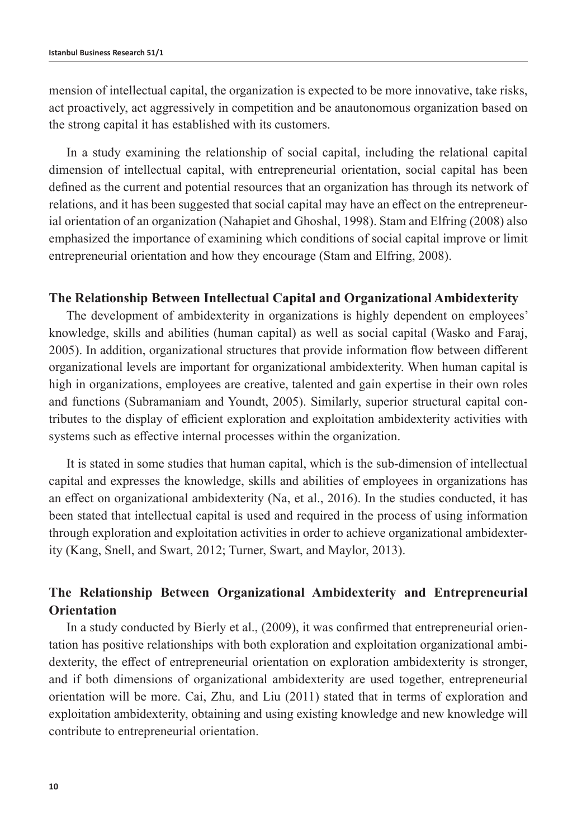mension of intellectual capital, the organization is expected to be more innovative, take risks, act proactively, act aggressively in competition and be anautonomous organization based on the strong capital it has established with its customers.

In a study examining the relationship of social capital, including the relational capital dimension of intellectual capital, with entrepreneurial orientation, social capital has been defined as the current and potential resources that an organization has through its network of relations, and it has been suggested that social capital may have an effect on the entrepreneurial orientation of an organization (Nahapiet and Ghoshal, 1998). Stam and Elfring (2008) also emphasized the importance of examining which conditions of social capital improve or limit entrepreneurial orientation and how they encourage (Stam and Elfring, 2008).

## **The Relationship Between Intellectual Capital and Organizational Ambidexterity**

The development of ambidexterity in organizations is highly dependent on employees' knowledge, skills and abilities (human capital) as well as social capital (Wasko and Faraj, 2005). In addition, organizational structures that provide information flow between different organizational levels are important for organizational ambidexterity. When human capital is high in organizations, employees are creative, talented and gain expertise in their own roles and functions (Subramaniam and Youndt, 2005). Similarly, superior structural capital contributes to the display of efficient exploration and exploitation ambidexterity activities with systems such as effective internal processes within the organization.

It is stated in some studies that human capital, which is the sub-dimension of intellectual capital and expresses the knowledge, skills and abilities of employees in organizations has an effect on organizational ambidexterity (Na, et al., 2016). In the studies conducted, it has been stated that intellectual capital is used and required in the process of using information through exploration and exploitation activities in order to achieve organizational ambidexterity (Kang, Snell, and Swart, 2012; Turner, Swart, and Maylor, 2013).

# **The Relationship Between Organizational Ambidexterity and Entrepreneurial Orientation**

In a study conducted by Bierly et al., (2009), it was confirmed that entrepreneurial orientation has positive relationships with both exploration and exploitation organizational ambidexterity, the effect of entrepreneurial orientation on exploration ambidexterity is stronger, and if both dimensions of organizational ambidexterity are used together, entrepreneurial orientation will be more. Cai, Zhu, and Liu (2011) stated that in terms of exploration and exploitation ambidexterity, obtaining and using existing knowledge and new knowledge will contribute to entrepreneurial orientation.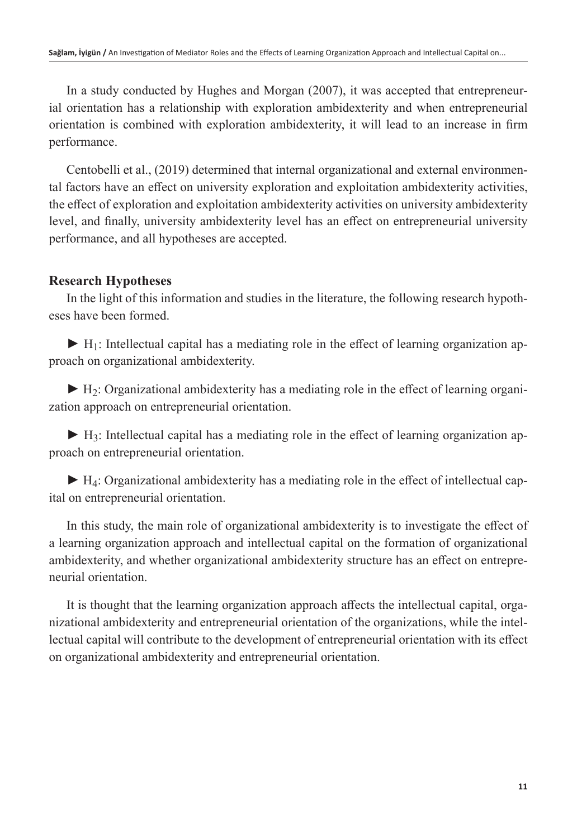In a study conducted by Hughes and Morgan (2007), it was accepted that entrepreneurial orientation has a relationship with exploration ambidexterity and when entrepreneurial orientation is combined with exploration ambidexterity, it will lead to an increase in firm performance.

Centobelli et al., (2019) determined that internal organizational and external environmental factors have an effect on university exploration and exploitation ambidexterity activities, the effect of exploration and exploitation ambidexterity activities on university ambidexterity level, and finally, university ambidexterity level has an effect on entrepreneurial university performance, and all hypotheses are accepted.

# **Research Hypotheses**

In the light of this information and studies in the literature, the following research hypotheses have been formed.

► **H**<sub>1</sub>: Intellectual capital has a mediating role in the effect of learning organization approach on organizational ambidexterity.

**►** H2: Organizational ambidexterity has a mediating role in the effect of learning organization approach on entrepreneurial orientation.

► H<sub>3</sub>: Intellectual capital has a mediating role in the effect of learning organization approach on entrepreneurial orientation.

► H<sub>4</sub>: Organizational ambidexterity has a mediating role in the effect of intellectual capital on entrepreneurial orientation.

In this study, the main role of organizational ambidexterity is to investigate the effect of a learning organization approach and intellectual capital on the formation of organizational ambidexterity, and whether organizational ambidexterity structure has an effect on entrepreneurial orientation.

It is thought that the learning organization approach affects the intellectual capital, organizational ambidexterity and entrepreneurial orientation of the organizations, while the intellectual capital will contribute to the development of entrepreneurial orientation with its effect on organizational ambidexterity and entrepreneurial orientation.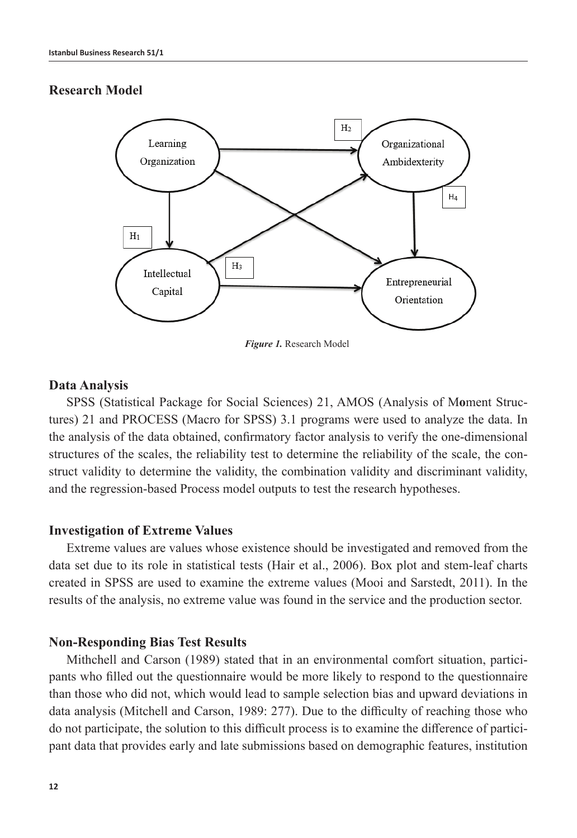# **Research Model**



*Figure 1.* Research Model

## **Data Analysis**

SPSS (Statistical Package for Social Sciences) 21, AMOS (Analysis of M**o**ment Structures) 21 and PROCESS (Macro for SPSS) 3.1 programs were used to analyze the data. In the analysis of the data obtained, confirmatory factor analysis to verify the one-dimensional structures of the scales, the reliability test to determine the reliability of the scale, the construct validity to determine the validity, the combination validity and discriminant validity, and the regression-based Process model outputs to test the research hypotheses.

## **Investigation of Extreme Values**

Extreme values are values whose existence should be investigated and removed from the data set due to its role in statistical tests (Hair et al., 2006). Box plot and stem-leaf charts created in SPSS are used to examine the extreme values (Mooi and Sarstedt, 2011). In the results of the analysis, no extreme value was found in the service and the production sector.

## **Non-Responding Bias Test Results**

Mithchell and Carson (1989) stated that in an environmental comfort situation, participants who filled out the questionnaire would be more likely to respond to the questionnaire than those who did not, which would lead to sample selection bias and upward deviations in data analysis (Mitchell and Carson, 1989: 277). Due to the difficulty of reaching those who do not participate, the solution to this difficult process is to examine the difference of participant data that provides early and late submissions based on demographic features, institution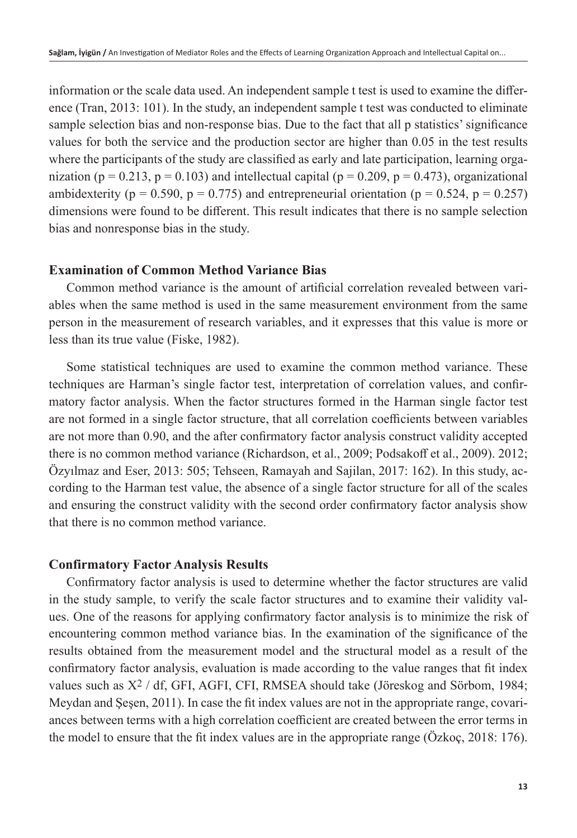information or the scale data used. An independent sample t test is used to examine the difference (Tran, 2013: 101). In the study, an independent sample t test was conducted to eliminate sample selection bias and non-response bias. Due to the fact that all p statistics' significance values for both the service and the production sector are higher than 0.05 in the test results where the participants of the study are classified as early and late participation, learning organization ( $p = 0.213$ ,  $p = 0.103$ ) and intellectual capital ( $p = 0.209$ ,  $p = 0.473$ ), organizational ambidexterity ( $p = 0.590$ ,  $p = 0.775$ ) and entrepreneurial orientation ( $p = 0.524$ ,  $p = 0.257$ ) dimensions were found to be different. This result indicates that there is no sample selection bias and nonresponse bias in the study.

## **Examination of Common Method Variance Bias**

Common method variance is the amount of artificial correlation revealed between variables when the same method is used in the same measurement environment from the same person in the measurement of research variables, and it expresses that this value is more or less than its true value (Fiske, 1982).

Some statistical techniques are used to examine the common method variance. These techniques are Harman's single factor test, interpretation of correlation values, and confirmatory factor analysis. When the factor structures formed in the Harman single factor test are not formed in a single factor structure, that all correlation coefficients between variables are not more than 0.90, and the after confirmatory factor analysis construct validity accepted there is no common method variance (Richardson, et al., 2009; Podsakoff et al., 2009). 2012; Özyılmaz and Eser, 2013: 505; Tehseen, Ramayah and Sajilan, 2017: 162). In this study, according to the Harman test value, the absence of a single factor structure for all of the scales and ensuring the construct validity with the second order confirmatory factor analysis show that there is no common method variance.

## **Confirmatory Factor Analysis Results**

Confirmatory factor analysis is used to determine whether the factor structures are valid in the study sample, to verify the scale factor structures and to examine their validity values. One of the reasons for applying confirmatory factor analysis is to minimize the risk of encountering common method variance bias. In the examination of the significance of the results obtained from the measurement model and the structural model as a result of the confirmatory factor analysis, evaluation is made according to the value ranges that fit index values such as X2 / df, GFI, AGFI, CFI, RMSEA should take (Jöreskog and Sörbom, 1984; Meydan and Şeşen, 2011). In case the fit index values are not in the appropriate range, covariances between terms with a high correlation coefficient are created between the error terms in the model to ensure that the fit index values are in the appropriate range (Özkoç, 2018: 176).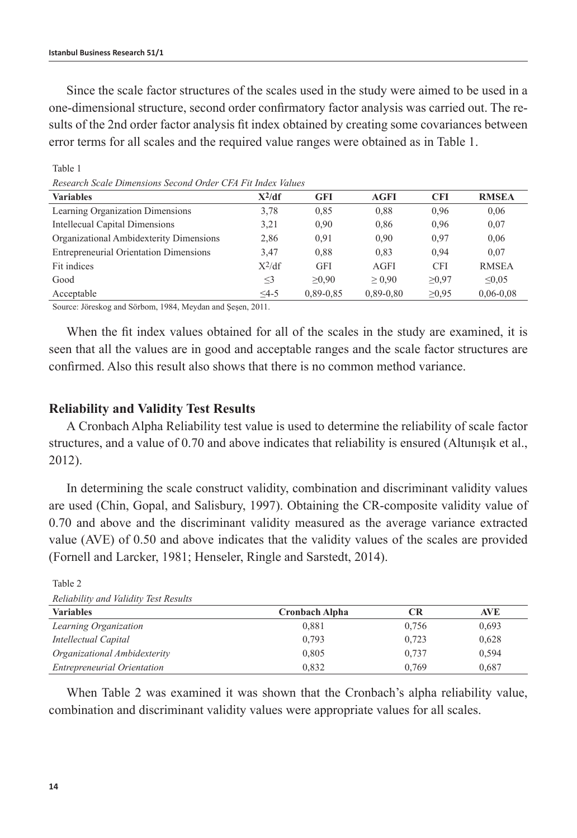Table 1

Since the scale factor structures of the scales used in the study were aimed to be used in a one-dimensional structure, second order confirmatory factor analysis was carried out. The results of the 2nd order factor analysis fit index obtained by creating some covariances between error terms for all scales and the required value ranges were obtained as in Table 1.

| TIDIJENI DIL MENIR IZ HIRDININGINI MERUJINI UTURI. UTTI TI ILIHIRDI I NIMERUM |          |               |               |            |               |  |  |
|-------------------------------------------------------------------------------|----------|---------------|---------------|------------|---------------|--|--|
| <b>Variables</b>                                                              | $X^2/df$ | <b>GFI</b>    | AGFI          | <b>CFI</b> | <b>RMSEA</b>  |  |  |
| Learning Organization Dimensions                                              | 3.78     | 0.85          | 0.88          | 0.96       | 0.06          |  |  |
| Intellecual Capital Dimensions                                                | 3.21     | 0.90          | 0.86          | 0.96       | 0,07          |  |  |
| Organizational Ambidexterity Dimensions                                       | 2,86     | 0.91          | 0.90          | 0.97       | 0,06          |  |  |
| <b>Entrepreneurial Orientation Dimensions</b>                                 | 3.47     | 0.88          | 0.83          | 0.94       | 0.07          |  |  |
| Fit indices                                                                   | $X^2/df$ | <b>GFI</b>    | AGFI          | <b>CFI</b> | <b>RMSEA</b>  |  |  |
| Good                                                                          | $\leq$ 3 | >0.90         | > 0.90        | >0.97      | $\leq 0.05$   |  |  |
| Acceptable                                                                    | $4-5$    | $0.89 - 0.85$ | $0.89 - 0.80$ | >0.95      | $0,06 - 0,08$ |  |  |

*Research Scale Dimensions Second Order CFA Fit Index Values*

Source: Jöreskog and Sörbom, 1984, Meydan and Şeşen, 2011.

When the fit index values obtained for all of the scales in the study are examined, it is seen that all the values are in good and acceptable ranges and the scale factor structures are confirmed. Also this result also shows that there is no common method variance.

### **Reliability and Validity Test Results**

A Cronbach Alpha Reliability test value is used to determine the reliability of scale factor structures, and a value of 0.70 and above indicates that reliability is ensured (Altunışık et al., 2012).

In determining the scale construct validity, combination and discriminant validity values are used (Chin, Gopal, and Salisbury, 1997). Obtaining the CR-composite validity value of 0.70 and above and the discriminant validity measured as the average variance extracted value (AVE) of 0.50 and above indicates that the validity values of the scales are provided (Fornell and Larcker, 1981; Henseler, Ringle and Sarstedt, 2014).

| Rendomny and randity fest results  |                       |       |       |  |  |  |
|------------------------------------|-----------------------|-------|-------|--|--|--|
| <b>Variables</b>                   | <b>Cronbach Alpha</b> | CR    | AVE   |  |  |  |
| Learning Organization              | 0.881                 | 0.756 | 0,693 |  |  |  |
| Intellectual Capital               | 0.793                 | 0.723 | 0.628 |  |  |  |
| Organizational Ambidexterity       | 0.805                 | 0.737 | 0.594 |  |  |  |
| <b>Entrepreneurial Orientation</b> | 0.832                 | 0.769 | 0,687 |  |  |  |

Table 2 *Reliability and Validity Test Results*

When Table 2 was examined it was shown that the Cronbach's alpha reliability value, combination and discriminant validity values were appropriate values for all scales.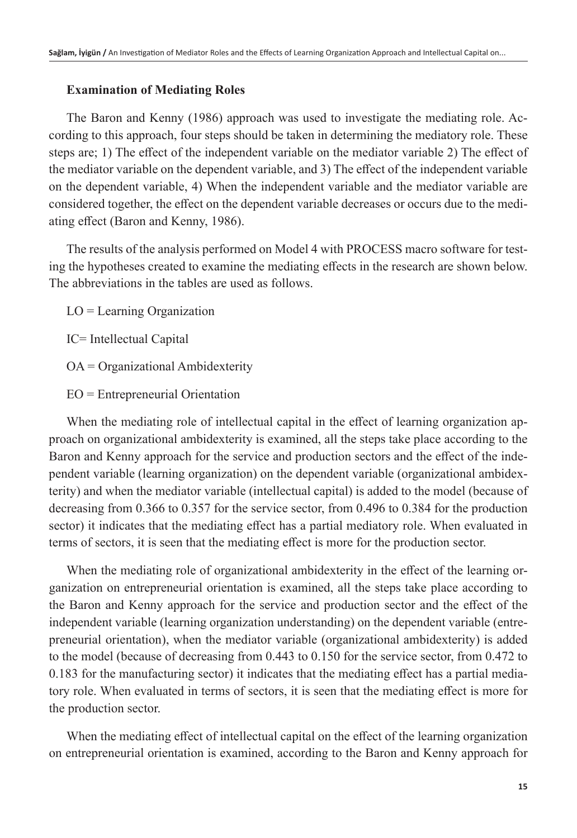# **Examination of Mediating Roles**

The Baron and Kenny (1986) approach was used to investigate the mediating role. According to this approach, four steps should be taken in determining the mediatory role. These steps are; 1) The effect of the independent variable on the mediator variable 2) The effect of the mediator variable on the dependent variable, and 3) The effect of the independent variable on the dependent variable, 4) When the independent variable and the mediator variable are considered together, the effect on the dependent variable decreases or occurs due to the mediating effect (Baron and Kenny, 1986).

The results of the analysis performed on Model 4 with PROCESS macro software for testing the hypotheses created to examine the mediating effects in the research are shown below. The abbreviations in the tables are used as follows.

LO = Learning Organization

IC= Intellectual Capital

OA = Organizational Ambidexterity

EO = Entrepreneurial Orientation

When the mediating role of intellectual capital in the effect of learning organization approach on organizational ambidexterity is examined, all the steps take place according to the Baron and Kenny approach for the service and production sectors and the effect of the independent variable (learning organization) on the dependent variable (organizational ambidexterity) and when the mediator variable (intellectual capital) is added to the model (because of decreasing from 0.366 to 0.357 for the service sector, from 0.496 to 0.384 for the production sector) it indicates that the mediating effect has a partial mediatory role. When evaluated in terms of sectors, it is seen that the mediating effect is more for the production sector.

When the mediating role of organizational ambidexterity in the effect of the learning organization on entrepreneurial orientation is examined, all the steps take place according to the Baron and Kenny approach for the service and production sector and the effect of the independent variable (learning organization understanding) on the dependent variable (entrepreneurial orientation), when the mediator variable (organizational ambidexterity) is added to the model (because of decreasing from 0.443 to 0.150 for the service sector, from 0.472 to 0.183 for the manufacturing sector) it indicates that the mediating effect has a partial mediatory role. When evaluated in terms of sectors, it is seen that the mediating effect is more for the production sector.

When the mediating effect of intellectual capital on the effect of the learning organization on entrepreneurial orientation is examined, according to the Baron and Kenny approach for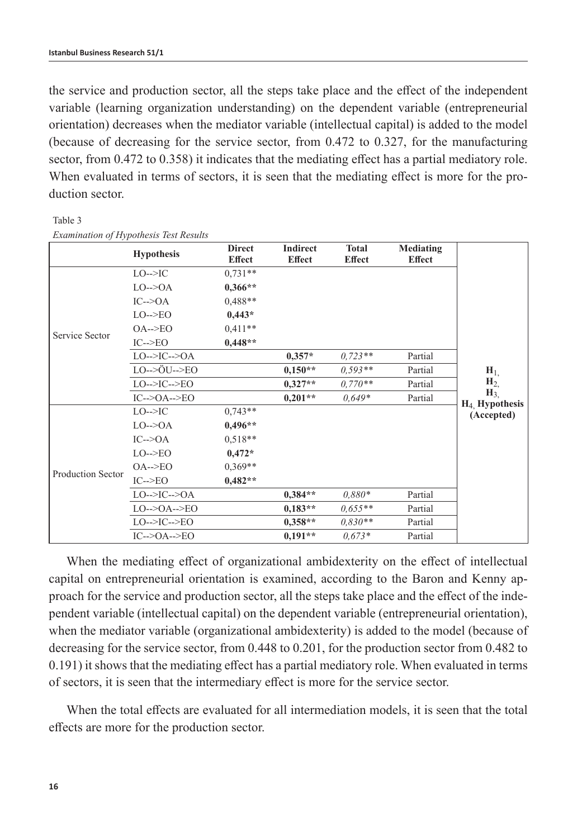the service and production sector, all the steps take place and the effect of the independent variable (learning organization understanding) on the dependent variable (entrepreneurial orientation) decreases when the mediator variable (intellectual capital) is added to the model (because of decreasing for the service sector, from 0.472 to 0.327, for the manufacturing sector, from 0.472 to 0.358) it indicates that the mediating effect has a partial mediatory role. When evaluated in terms of sectors, it is seen that the mediating effect is more for the production sector.

|                   | <b>Hypothesis</b>                         | <b>Direct</b><br><b>Effect</b> | <b>Indirect</b><br><b>Effect</b> | <b>Total</b><br><b>Effect</b> | Mediating<br><b>Effect</b> |                                                  |
|-------------------|-------------------------------------------|--------------------------------|----------------------------------|-------------------------------|----------------------------|--------------------------------------------------|
| Service Sector    | $LO \rightarrow PC$                       | $0.731**$                      |                                  |                               |                            |                                                  |
|                   | $LO--OA$                                  | $0.366**$                      |                                  |                               |                            |                                                  |
|                   | $IC\rightarrow OA$                        | $0.488**$                      |                                  |                               |                            |                                                  |
|                   | $LO \rightarrow EO$                       | $0,443*$                       |                                  |                               |                            |                                                  |
|                   | $OA \rightarrow \text{EO}$                | $0,411**$                      |                                  |                               |                            |                                                  |
|                   | $IC\rightarrow EO$                        | $0,448**$                      |                                  |                               |                            |                                                  |
|                   | $LO--$ >IC-->OA                           |                                | $0,357*$                         | $0.723**$                     | Partial                    |                                                  |
|                   | $LO \rightarrow \ddot{O}U \rightarrow EO$ |                                | $0,150**$                        | $0,593**$                     | Partial                    | $H_{1}$                                          |
|                   | $LO--\geq IC--\geq EO$                    |                                | $0.327**$                        | $0.770**$                     | Partial                    | H <sub>2</sub>                                   |
|                   | $IC--OA--ECO$                             |                                | $0,201**$                        | $0.649*$                      | Partial                    | $H_3$<br>H <sub>4</sub> Hypothesis<br>(Accepted) |
| Production Sector | $LO \rightarrow PC$                       | $0.743**$                      |                                  |                               |                            |                                                  |
|                   | $LO\rightarrow OA$                        | $0,496**$                      |                                  |                               |                            |                                                  |
|                   | $IC\rightarrow OA$                        | $0.518**$                      |                                  |                               |                            |                                                  |
|                   | $LO \rightarrow EO$                       | $0,472*$                       |                                  |                               |                            |                                                  |
|                   | $OA \rightarrow \text{EO}$                | $0.369**$                      |                                  |                               |                            |                                                  |
|                   | $IC\rightarrow EO$                        | $0,482**$                      |                                  |                               |                            |                                                  |
|                   | $LO--$ >IC-->OA                           |                                | $0,384**$                        | $0.880*$                      | Partial                    |                                                  |
|                   | $LO \rightarrow OA \rightarrow EO$        |                                | $0.183**$                        | $0.655**$                     | Partial                    |                                                  |
|                   | $LO--\geq IC--\geq EO$                    |                                | $0.358**$                        | $0.830**$                     | Partial                    |                                                  |
|                   | $IC--OA--ECO$                             |                                | $0,191**$                        | $0.673*$                      | Partial                    |                                                  |

Table 3 *Examination of Hypothesis Test Results*

When the mediating effect of organizational ambidexterity on the effect of intellectual capital on entrepreneurial orientation is examined, according to the Baron and Kenny approach for the service and production sector, all the steps take place and the effect of the independent variable (intellectual capital) on the dependent variable (entrepreneurial orientation), when the mediator variable (organizational ambidexterity) is added to the model (because of decreasing for the service sector, from 0.448 to 0.201, for the production sector from 0.482 to 0.191) it shows that the mediating effect has a partial mediatory role. When evaluated in terms of sectors, it is seen that the intermediary effect is more for the service sector.

When the total effects are evaluated for all intermediation models, it is seen that the total effects are more for the production sector.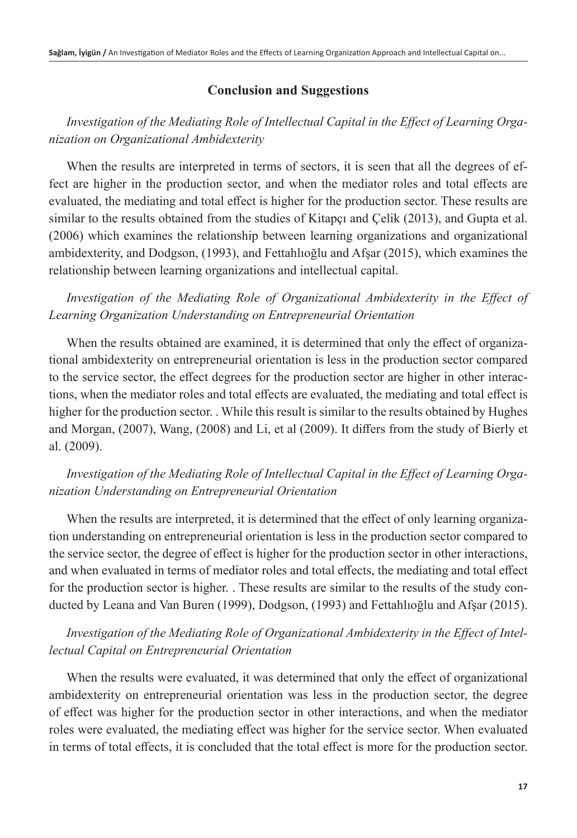# **Conclusion and Suggestions**

# *Investigation of the Mediating Role of Intellectual Capital in the Effect of Learning Organization on Organizational Ambidexterity*

When the results are interpreted in terms of sectors, it is seen that all the degrees of effect are higher in the production sector, and when the mediator roles and total effects are evaluated, the mediating and total effect is higher for the production sector. These results are similar to the results obtained from the studies of Kitapci and Celik (2013), and Gupta et al. (2006) which examines the relationship between learning organizations and organizational ambidexterity, and Dodgson, (1993), and Fettahlıoğlu and Afşar (2015), which examines the relationship between learning organizations and intellectual capital.

*Investigation of the Mediating Role of Organizational Ambidexterity in the Effect of Learning Organization Understanding on Entrepreneurial Orientation*

When the results obtained are examined, it is determined that only the effect of organizational ambidexterity on entrepreneurial orientation is less in the production sector compared to the service sector, the effect degrees for the production sector are higher in other interactions, when the mediator roles and total effects are evaluated, the mediating and total effect is higher for the production sector. . While this result is similar to the results obtained by Hughes and Morgan, (2007), Wang, (2008) and Li, et al (2009). It differs from the study of Bierly et al. (2009).

# *Investigation of the Mediating Role of Intellectual Capital in the Effect of Learning Organization Understanding on Entrepreneurial Orientation*

When the results are interpreted, it is determined that the effect of only learning organization understanding on entrepreneurial orientation is less in the production sector compared to the service sector, the degree of effect is higher for the production sector in other interactions, and when evaluated in terms of mediator roles and total effects, the mediating and total effect for the production sector is higher. . These results are similar to the results of the study conducted by Leana and Van Buren (1999), Dodgson, (1993) and Fettahlıoğlu and Afşar (2015).

# *Investigation of the Mediating Role of Organizational Ambidexterity in the Effect of Intellectual Capital on Entrepreneurial Orientation*

When the results were evaluated, it was determined that only the effect of organizational ambidexterity on entrepreneurial orientation was less in the production sector, the degree of effect was higher for the production sector in other interactions, and when the mediator roles were evaluated, the mediating effect was higher for the service sector. When evaluated in terms of total effects, it is concluded that the total effect is more for the production sector.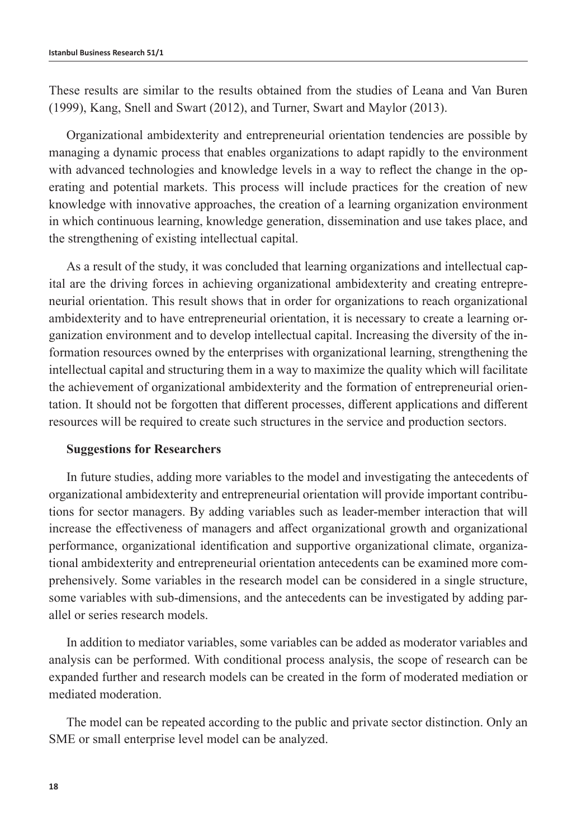These results are similar to the results obtained from the studies of Leana and Van Buren (1999), Kang, Snell and Swart (2012), and Turner, Swart and Maylor (2013).

Organizational ambidexterity and entrepreneurial orientation tendencies are possible by managing a dynamic process that enables organizations to adapt rapidly to the environment with advanced technologies and knowledge levels in a way to reflect the change in the operating and potential markets. This process will include practices for the creation of new knowledge with innovative approaches, the creation of a learning organization environment in which continuous learning, knowledge generation, dissemination and use takes place, and the strengthening of existing intellectual capital.

As a result of the study, it was concluded that learning organizations and intellectual capital are the driving forces in achieving organizational ambidexterity and creating entrepreneurial orientation. This result shows that in order for organizations to reach organizational ambidexterity and to have entrepreneurial orientation, it is necessary to create a learning organization environment and to develop intellectual capital. Increasing the diversity of the information resources owned by the enterprises with organizational learning, strengthening the intellectual capital and structuring them in a way to maximize the quality which will facilitate the achievement of organizational ambidexterity and the formation of entrepreneurial orientation. It should not be forgotten that different processes, different applications and different resources will be required to create such structures in the service and production sectors.

### **Suggestions for Researchers**

In future studies, adding more variables to the model and investigating the antecedents of organizational ambidexterity and entrepreneurial orientation will provide important contributions for sector managers. By adding variables such as leader-member interaction that will increase the effectiveness of managers and affect organizational growth and organizational performance, organizational identification and supportive organizational climate, organizational ambidexterity and entrepreneurial orientation antecedents can be examined more comprehensively. Some variables in the research model can be considered in a single structure, some variables with sub-dimensions, and the antecedents can be investigated by adding parallel or series research models.

In addition to mediator variables, some variables can be added as moderator variables and analysis can be performed. With conditional process analysis, the scope of research can be expanded further and research models can be created in the form of moderated mediation or mediated moderation.

The model can be repeated according to the public and private sector distinction. Only an SME or small enterprise level model can be analyzed.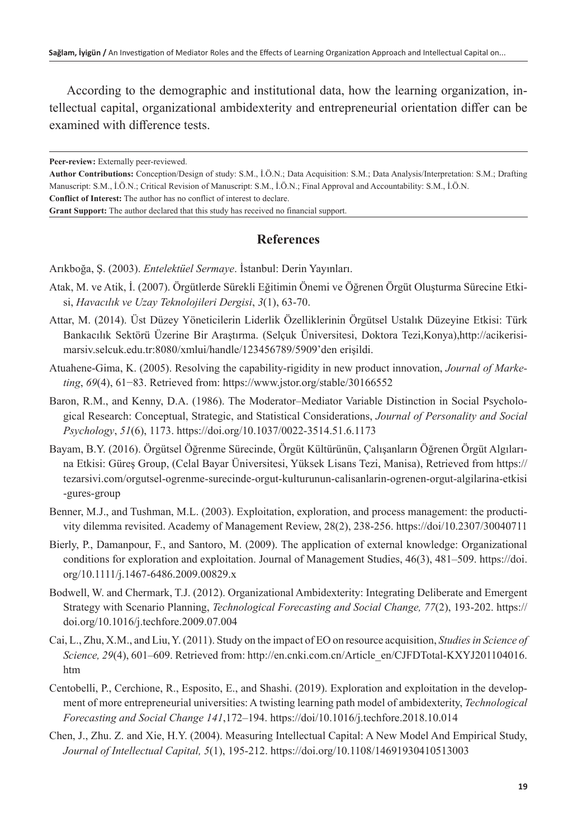According to the demographic and institutional data, how the learning organization, intellectual capital, organizational ambidexterity and entrepreneurial orientation differ can be examined with difference tests.

**Peer-review:** Externally peer-reviewed.

**Author Contributions:** Conception/Design of study: S.M., İ.Ö.N.; Data Acquisition: S.M.; Data Analysis/Interpretation: S.M.; Drafting Manuscript: S.M., İ.Ö.N.; Critical Revision of Manuscript: S.M., İ.Ö.N.; Final Approval and Accountability: S.M., İ.Ö.N. **Conflict of Interest:** The author has no conflict of interest to declare.

**Grant Support:** The author declared that this study has received no financial support.

## **References**

Arıkboğa, Ş. (2003). *Entelektüel Sermaye*. İstanbul: Derin Yayınları.

- Atak, M. ve Atik, İ. (2007). Örgütlerde Sürekli Eğitimin Önemi ve Öğrenen Örgüt Oluşturma Sürecine Etkisi, *Havacılık ve Uzay Teknolojileri Dergisi*, *3*(1), 63-70.
- Attar, M. (2014). Üst Düzey Yöneticilerin Liderlik Özelliklerinin Örgütsel Ustalık Düzeyine Etkisi: Türk Bankacılık Sektörü Üzerine Bir Araştırma. (Selçuk Üniversitesi, Doktora Tezi,Konya),[http://acikerisi](http://acikerisimarsiv.selcuk.edu.tr:8080/xmlui/handle/123456789/5909)[marsiv.selcuk.edu.tr:8080/xmlui/handle/123456789/5909'den](http://acikerisimarsiv.selcuk.edu.tr:8080/xmlui/handle/123456789/5909) erişildi.
- Atuahene-Gima, K. (2005). Resolving the capability-rigidity in new product innovation, *Journal of Marketing*, *69*(4), 61−83. Retrieved from: <https://www.jstor.org/stable/30166552>
- Baron, R.M., and Kenny, D.A. (1986). The Moderator–Mediator Variable Distinction in Social Psychological Research: Conceptual, Strategic, and Statistical Considerations, *Journal of Personality and Social Psychology*, *51*(6), 1173. [https://doi.org/10.1037/0022-3514.51.6.1173](https://psycnet.apa.org/doi/10.1037/0022-3514.51.6.1173)
- Bayam, B.Y. (2016). Örgütsel Öğrenme Sürecinde, Örgüt Kültürünün, Çalışanların Öğrenen Örgüt Algılarına Etkisi: Güreş Group, (Celal Bayar Üniversitesi, Yüksek Lisans Tezi, Manisa), Retrieved from [https://](https://tezarsivi.com/orgutsel-ogrenme-surecinde-orgut-kulturunun-calisanlarin-ogrenen-orgut-algilarina-etkisi-gures-group) [tezarsivi.com/orgutsel-ogrenme-surecinde-orgut-kulturunun-calisanlarin-ogrenen-orgut-algilarina-etkisi](https://tezarsivi.com/orgutsel-ogrenme-surecinde-orgut-kulturunun-calisanlarin-ogrenen-orgut-algilarina-etkisi-gures-group) [-gures-group](https://tezarsivi.com/orgutsel-ogrenme-surecinde-orgut-kulturunun-calisanlarin-ogrenen-orgut-algilarina-etkisi-gures-group)
- Benner, M.J., and Tushman, M.L. (2003). Exploitation, exploration, and process management: the productivity dilemma revisited. Academy of Management Review, 28(2), 238-256.<https://doi/10.2307/30040711>
- Bierly, P., Damanpour, F., and Santoro, M. (2009). The application of external knowledge: Organizational conditions for exploration and exploitation. Journal of Management Studies, 46(3), 481–509. [https://doi.](https://doi.org/10.1111/j.1467-6486.2009.00829.x) [org/10.1111/j.1467-6486.2009.00829.x](https://doi.org/10.1111/j.1467-6486.2009.00829.x)
- Bodwell, W. and Chermark, T.J. (2012). Organizational Ambidexterity: Integrating Deliberate and Emergent Strategy with Scenario Planning, *Technological Forecasting and Social Change, 77*(2), 193-202. [https://](https://doi.org/10.1016/j.techfore.2009.07.004) [doi.org/10.1016/j.techfore.2009.07.004](https://doi.org/10.1016/j.techfore.2009.07.004)
- Cai, L., Zhu, X.M., and Liu, Y. (2011). Study on the impact of EO on resource acquisition, *Studies in Science of Science, 29*(4), 601–609. Retrieved from: [http://en.cnki.com.cn/Article\\_en/CJFDTotal-KXYJ201104016.](http://en.cnki.com.cn/Article_en/CJFDTotal-KXYJ201104016.htm) [htm](http://en.cnki.com.cn/Article_en/CJFDTotal-KXYJ201104016.htm)
- Centobelli, P., Cerchione, R., Esposito, E., and Shashi. (2019). Exploration and exploitation in the development of more entrepreneurial universities: A twisting learning path model of ambidexterity, *Technological Forecasting and Social Change 141*,172–194.<https://doi/10.1016/j.techfore.2018.10.014>
- Chen, J., Zhu. Z. and Xie, H.Y. (2004). Measuring Intellectual Capital: A New Model And Empirical Study, *Journal of Intellectual Capital, 5*(1), 195-212. <https://doi.org/10.1108/14691930410513003>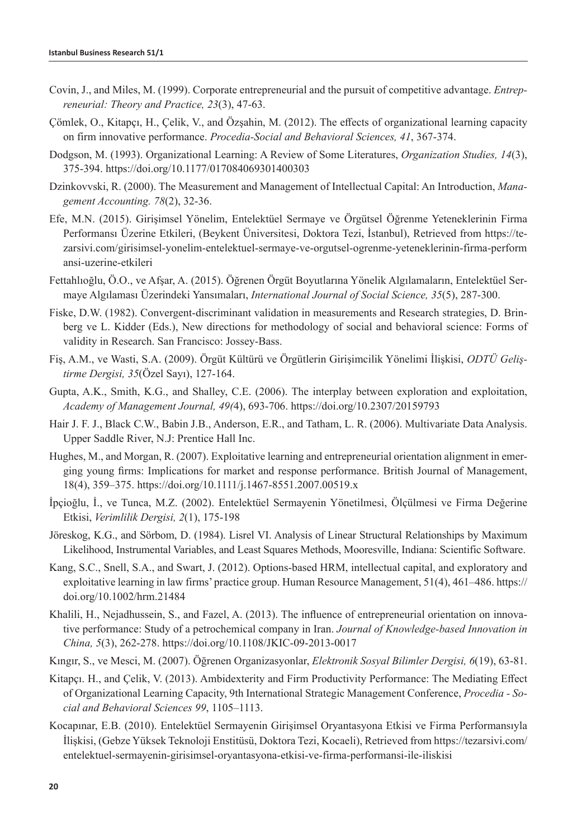- Covin, J., and Miles, M. (1999). Corporate entrepreneurial and the pursuit of competitive advantage. *Entrepreneurial: Theory and Practice, 23*(3), 47-63.
- Çömlek, O., Kitapçı, H., Çelik, V., and Özşahin, M. (2012). The effects of organizational learning capacity on firm innovative performance. *Procedia-Social and Behavioral Sciences, 41*, 367-374.
- Dodgson, M. (1993). Organizational Learning: A Review of Some Literatures, *Organization Studies, 14*(3), 375-394. <https://doi.org/10.1177/017084069301400303>
- Dzinkovvski, R. (2000). The Measurement and Management of Intellectual Capital: An Introduction, *Management Accounting. 78*(2), 32-36.
- Efe, M.N. (2015). Girişimsel Yönelim, Entelektüel Sermaye ve Örgütsel Öğrenme Yeteneklerinin Firma Performansı Üzerine Etkileri, (Beykent Üniversitesi, Doktora Tezi, İstanbul), Retrieved from [https://te](https://tezarsivi.com/girisimsel-yonelim-entelektuel-sermaye-ve-orgutsel-ogrenme-yeteneklerinin-firma-performansi-uzerine-etkileri)[zarsivi.com/girisimsel-yonelim-entelektuel-sermaye-ve-orgutsel-ogrenme-yeteneklerinin-firma-perform](https://tezarsivi.com/girisimsel-yonelim-entelektuel-sermaye-ve-orgutsel-ogrenme-yeteneklerinin-firma-performansi-uzerine-etkileri) [ansi-uzerine-etkileri](https://tezarsivi.com/girisimsel-yonelim-entelektuel-sermaye-ve-orgutsel-ogrenme-yeteneklerinin-firma-performansi-uzerine-etkileri)
- Fettahlıoğlu, Ö.O., ve Afşar, A. (2015). Öğrenen Örgüt Boyutlarına Yönelik Algılamaların, Entelektüel Sermaye Algılaması Üzerindeki Yansımaları, *International Journal of Social Science, 35*(5), 287-300.
- Fiske, D.W. (1982). Convergent-discriminant validation in measurements and Research strategies, D. Brinberg ve L. Kidder (Eds.), New directions for methodology of social and behavioral science: Forms of validity in Research. San Francisco: Jossey-Bass.
- Fiş, A.M., ve Wasti, S.A. (2009). Örgüt Kültürü ve Örgütlerin Girişimcilik Yönelimi İlişkisi, *ODTÜ Geliştirme Dergisi, 35*(Özel Sayı), 127-164.
- Gupta, A.K., Smith, K.G., and Shalley, C.E. (2006). The interplay between exploration and exploitation, *Academy of Management Journal, 49(*4), 693-706. <https://doi.org/10.2307/20159793>
- Hair J. F. J., Black C.W., Babin J.B., Anderson, E.R., and Tatham, L. R. (2006). Multivariate Data Analysis. Upper Saddle River, N.J: Prentice Hall Inc.
- Hughes, M., and Morgan, R. (2007). Exploitative learning and entrepreneurial orientation alignment in emerging young firms: Implications for market and response performance. British Journal of Management, 18(4), 359–375.<https://doi.org/10.1111/j.1467-8551.2007.00519.x>
- İpçioğlu, İ., ve Tunca, M.Z. (2002). Entelektüel Sermayenin Yönetilmesi, Ölçülmesi ve Firma Değerine Etkisi, *Verimlilik Dergisi, 2*(1), 175-198
- Jöreskog, K.G., and Sörbom, D. (1984). Lisrel VI. Analysis of Linear Structural Relationships by Maximum Likelihood, Instrumental Variables, and Least Squares Methods, Mooresville, Indiana: Scientific Software.
- Kang, S.C., Snell, S.A., and Swart, J. (2012). Options-based HRM, intellectual capital, and exploratory and exploitative learning in law firms' practice group. Human Resource Management, 51(4), 461–486. [https://](https://doi.org/10.1002/hrm.21484) [doi.org/10.1002/hrm.21484](https://doi.org/10.1002/hrm.21484)
- Khalili, H., Nejadhussein, S., and Fazel, A. (2013). The influence of entrepreneurial orientation on innovative performance: Study of a petrochemical company in Iran. *Journal of Knowledge-based Innovation in China, 5*(3), 262-278. <https://doi.org/10.1108/JKIC-09-2013-0017>
- Kıngır, S., ve Mesci, M. (2007). Öğrenen Organizasyonlar, *Elektronik Sosyal Bilimler Dergisi, 6*(19), 63-81.
- Kitapçı. H., and Çelik, V. (2013). Ambidexterity and Firm Productivity Performance: The Mediating Effect of Organizational Learning Capacity, 9th International Strategic Management Conference, *Procedia - Social and Behavioral Sciences 99*, 1105–1113.
- Kocapınar, E.B. (2010). Entelektüel Sermayenin Girişimsel Oryantasyona Etkisi ve Firma Performansıyla İlişkisi, (Gebze Yüksek Teknoloji Enstitüsü, Doktora Tezi, Kocaeli), Retrieved from [https://tezarsivi.com/](https://tezarsivi.com/entelektuel-sermayenin-girisimsel-oryantasyona-etkisi-ve-firma-performansi-ile-iliskisi) [entelektuel-sermayenin-girisimsel-oryantasyona-etkisi-ve-firma-performansi-ile-iliskisi](https://tezarsivi.com/entelektuel-sermayenin-girisimsel-oryantasyona-etkisi-ve-firma-performansi-ile-iliskisi)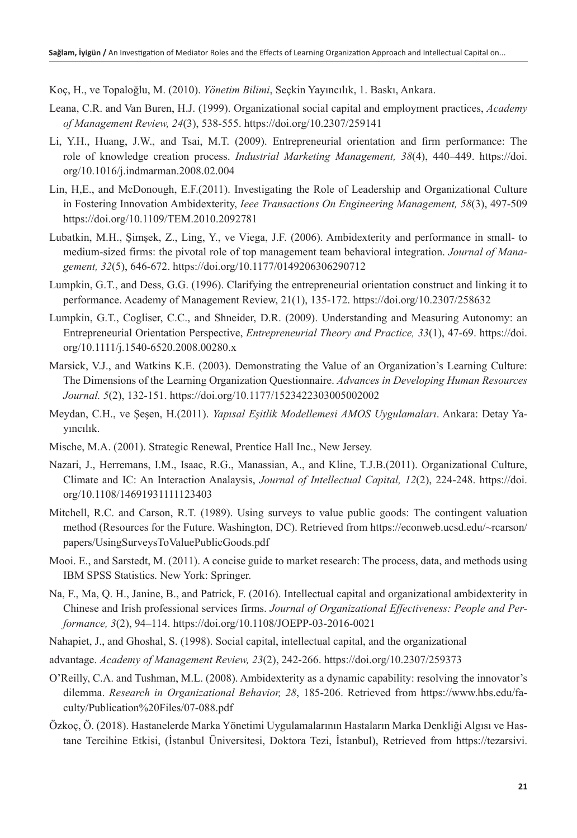Koç, H., ve Topaloğlu, M. (2010). *Yönetim Bilimi*, Seçkin Yayıncılık, 1. Baskı, Ankara.

- Leana, C.R. and Van Buren, H.J. (1999). Organizational social capital and employment practices, *Academy of Management Review, 24*(3), 538-555. https://doi.org/10.2307/259141
- Li, Y.H., Huang, J.W., and Tsai, M.T. (2009). Entrepreneurial orientation and firm performance: The role of knowledge creation process. *Industrial Marketing Management, 38*(4), 440–449. [https://doi.](https://doi.org/10.1016/j.indmarman.2008.02.004) [org/10.1016/j.indmarman.2008.02.004](https://doi.org/10.1016/j.indmarman.2008.02.004)
- Lin, H,E., and McDonough, E.F.(2011). Investigating the Role of Leadership and Organizational Culture in Fostering Innovation Ambidexterity, *Ieee Transactions On Engineering Management, 58*(3), 497-509 https://doi.org[/10.1109/TEM.2010.2092781](https://doi.org/10.1109/TEM.2010.2092781)
- Lubatkin, M.H., Şimşek, Z., Ling, Y., ve Viega, J.F. (2006). Ambidexterity and performance in small- to medium-sized firms: the pivotal role of top management team behavioral integration. *Journal of Management, 32*(5), 646-672.<https://doi.org/10.1177/0149206306290712>
- Lumpkin, G.T., and Dess, G.G. (1996). Clarifying the entrepreneurial orientation construct and linking it to performance. Academy of Management Review, 21(1), 135-172. https://doi.org/10.2307/258632
- Lumpkin, G.T., Cogliser, C.C., and Shneider, D.R. (2009). Understanding and Measuring Autonomy: an Entrepreneurial Orientation Perspective, *Entrepreneurial Theory and Practice, 33*(1), 47-69. [https://doi.](https://doi.org/10.1111/j.1540-6520.2008.00280.x) [org/10.1111/j.1540-6520.2008.00280.x](https://doi.org/10.1111/j.1540-6520.2008.00280.x)
- Marsick, V.J., and Watkins K.E. (2003). Demonstrating the Value of an Organization's Learning Culture: The Dimensions of the Learning Organization Questionnaire. *Advances in Developing Human Resources Journal. 5*(2), 132-151. <https://doi.org/10.1177/1523422303005002002>
- Meydan, C.H., ve Şeşen, H.(2011). *Yapısal Eşitlik Modellemesi AMOS Uygulamaları*. Ankara: Detay Yayıncılık.
- Mische, M.A. (2001). Strategic Renewal, Prentice Hall Inc., New Jersey.
- Nazari, J., Herremans, I.M., Isaac, R.G., Manassian, A., and Kline, T.J.B.(2011). Organizational Culture, Climate and IC: An Interaction Analaysis, *Journal of Intellectual Capital, 12*(2), 224-248. [https://doi.](https://doi.org/10.1108/14691931111123403) [org/10.1108/14691931111123403](https://doi.org/10.1108/14691931111123403)
- Mitchell, R.C. and Carson, R.T. (1989). Using surveys to value public goods: The contingent valuation method (Resources for the Future. Washington, DC). Retrieved from [https://econweb.ucsd.edu/~rcarson/](https://econweb.ucsd.edu/~rcarson/papers/UsingSurveysToValuePublicGoods.pdf) [papers/UsingSurveysToValuePublicGoods.pdf](https://econweb.ucsd.edu/~rcarson/papers/UsingSurveysToValuePublicGoods.pdf)
- Mooi. E., and Sarstedt, M. (2011). A concise guide to market research: The process, data, and methods using IBM SPSS Statistics. New York: Springer.
- Na, F., Ma, Q. H., Janine, B., and Patrick, F. (2016). Intellectual capital and organizational ambidexterity in Chinese and Irish professional services firms. *Journal of Organizational Effectiveness: People and Performance, 3*(2), 94–114.<https://doi.org/10.1108/JOEPP-03-2016-0021>
- Nahapiet, J., and Ghoshal, S. (1998). Social capital, intellectual capital, and the organizational
- advantage. *Academy of Management Review, 23*(2), 242-266. https://doi.org/10.2307/259373
- O'Reilly, C.A. and Tushman, M.L. (2008). Ambidexterity as a dynamic capability: resolving the innovator's dilemma. *Research in Organizational Behavior, 28*, 185-206. Retrieved from [https://www.hbs.edu/fa](https://www.hbs.edu/faculty/Publication%2520Files/07-088.pdf)[culty/Publication%20Files/07-088.pdf](https://www.hbs.edu/faculty/Publication%2520Files/07-088.pdf)
- Özkoç, Ö. (2018). Hastanelerde Marka Yönetimi Uygulamalarının Hastaların Marka Denkliği Algısı ve Hastane Tercihine Etkisi, (İstanbul Üniversitesi, Doktora Tezi, İstanbul), Retrieved from [https://tezarsivi.](https://tezarsivi.com/hastanelerde-marka-yonetimi-uygulamalarinin-hastalarin-marka-denkligi-algisi-ve-hastane-tercihine-etkisi)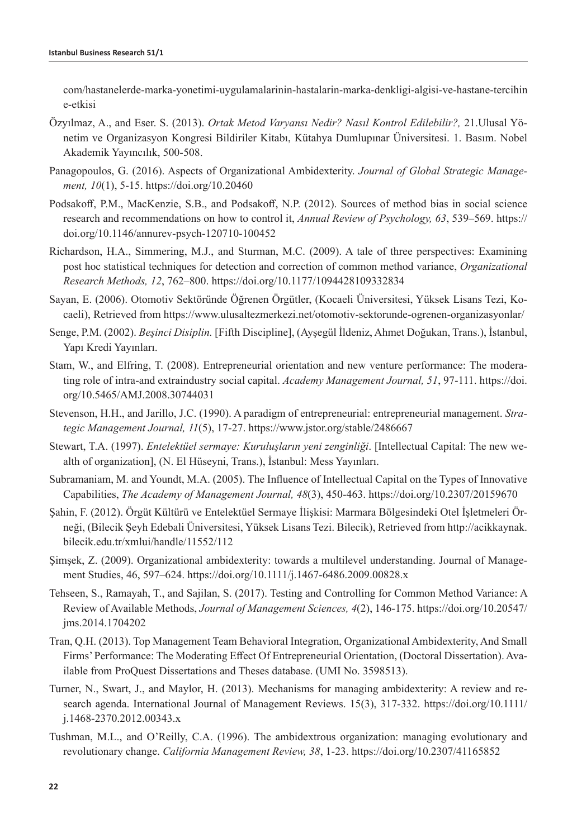[com/hastanelerde-marka-yonetimi-uygulamalarinin-hastalarin-marka-denkligi-algisi-ve-hastane-tercihin](https://tezarsivi.com/hastanelerde-marka-yonetimi-uygulamalarinin-hastalarin-marka-denkligi-algisi-ve-hastane-tercihine-etkisi) [e-etkisi](https://tezarsivi.com/hastanelerde-marka-yonetimi-uygulamalarinin-hastalarin-marka-denkligi-algisi-ve-hastane-tercihine-etkisi) 

- Özyılmaz, A., and Eser. S. (2013). *Ortak Metod Varyansı Nedir? Nasıl Kontrol Edilebilir?,* 21.Ulusal Yönetim ve Organizasyon Kongresi Bildiriler Kitabı, Kütahya Dumlupınar Üniversitesi. 1. Basım. Nobel Akademik Yayıncılık, 500-508.
- Panagopoulos, G. (2016). Aspects of Organizational Ambidexterity. *Journal of Global Strategic Management, 10*(1), 5-15. https://doi.org/10.20460
- Podsakoff, P.M., MacKenzie, S.B., and Podsakoff, N.P. (2012). Sources of method bias in social science research and recommendations on how to control it, *Annual Review of Psychology, 63*, 539–569. [https://](https://doi.org/10.1146/annurev-psych-120710-100452) [doi.org/10.1146/annurev-psych-120710-100452](https://doi.org/10.1146/annurev-psych-120710-100452)
- Richardson, H.A., Simmering, M.J., and Sturman, M.C. (2009). A tale of three perspectives: Examining post hoc statistical techniques for detection and correction of common method variance, *Organizational Research Methods, 12*, 762–800. <https://doi.org/10.1177/1094428109332834>
- Sayan, E. (2006). Otomotiv Sektöründe Öğrenen Örgütler, (Kocaeli Üniversitesi, Yüksek Lisans Tezi, Kocaeli), Retrieved from <https://www.ulusaltezmerkezi.net/otomotiv-sektorunde-ogrenen-organizasyonlar/>
- Senge, P.M. (2002). *Beşinci Disiplin.* [Fifth Discipline], (Ayşegül İldeniz, Ahmet Doğukan, Trans.), İstanbul, Yapı Kredi Yayınları.
- Stam, W., and Elfring, T. (2008). Entrepreneurial orientation and new venture performance: The moderating role of intra-and extraindustry social capital. *Academy Management Journal, 51*, 97-111. https://doi. org/[10.5465/AMJ.2008.30744031](https://doi.org/10.5465/AMJ.2008.30744031)
- Stevenson, H.H., and Jarillo, J.C. (1990). A paradigm of entrepreneurial: entrepreneurial management. *Strategic Management Journal, 11*(5), 17-27. https://www.jstor.org/stable/2486667
- Stewart, T.A. (1997). *Entelektüel sermaye: Kuruluşların yeni zenginliği*. [Intellectual Capital: The new wealth of organization], (N. El Hüseyni, Trans.), İstanbul: Mess Yayınları.
- Subramaniam, M. and Youndt, M.A. (2005). The Influence of Intellectual Capital on the Types of Innovative Capabilities, *The Academy of Management Journal, 48*(3), 450-463. https://doi.org/10.2307/20159670
- Şahin, F. (2012). Örgüt Kültürü ve Entelektüel Sermaye İlişkisi: Marmara Bölgesindeki Otel İşletmeleri Örneği, (Bilecik Şeyh Edebali Üniversitesi, Yüksek Lisans Tezi. Bilecik), Retrieved from [http://acikkaynak.](http://acikkaynak.bilecik.edu.tr/xmlui/handle/11552/112) [bilecik.edu.tr/xmlui/handle/11552/112](http://acikkaynak.bilecik.edu.tr/xmlui/handle/11552/112)
- Şimşek, Z. (2009). Organizational ambidexterity: towards a multilevel understanding. Journal of Management Studies, 46, 597–624.<https://doi.org/10.1111/j.1467-6486.2009.00828.x>
- Tehseen, S., Ramayah, T., and Sajilan, S. (2017). Testing and Controlling for Common Method Variance: A Review of Available Methods, *Journal of Management Sciences, 4*(2), 146-175. https://doi.org/[10.20547/](https://geistscience.com/papers/view/JMS1704202) [jms.2014.1704202](https://geistscience.com/papers/view/JMS1704202)
- Tran, Q.H. (2013). Top Management Team Behavioral Integration, Organizational Ambidexterity, And Small Firms' Performance: The Moderating Effect Of Entrepreneurial Orientation, (Doctoral Dissertation). Available from ProQuest Dissertations and Theses database. (UMI No. 3598513).
- Turner, N., Swart, J., and Maylor, H. (2013). Mechanisms for managing ambidexterity: A review and research agenda. International Journal of Management Reviews. 15(3), 317-332. [https://doi.org/10.1111/](https://doi.org/10.1111/j.1468-2370.2012.00343.x) [j.1468-2370.2012.00343.x](https://doi.org/10.1111/j.1468-2370.2012.00343.x)
- Tushman, M.L., and O'Reilly, C.A. (1996). The ambidextrous organization: managing evolutionary and revolutionary change. *California Management Review, 38*, 1-23.<https://doi.org/10.2307/41165852>